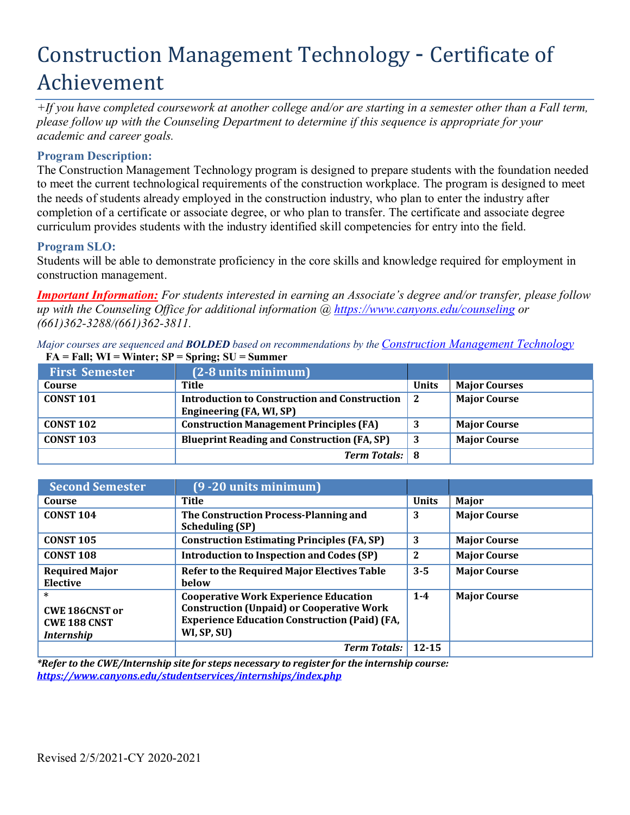# Construction Management Technology - Certificate of Achievement

*+If you have completed coursework at another college and/or are starting in a semester other than a Fall term, please follow up with the Counseling Department to determine if this sequence is appropriate for your academic and career goals.*

# **Program Description:**

The Construction Management Technology program is designed to prepare students with the foundation needed to meet the current technological requirements of the construction workplace. The program is designed to meet the needs of students already employed in the construction industry, who plan to enter the industry after completion of a certificate or associate degree, or who plan to transfer. The certificate and associate degree curriculum provides students with the industry identified skill competencies for entry into the field.

# **Program SLO:**

Students will be able to demonstrate proficiency in the core skills and knowledge required for employment in construction management.

*Important Information: For students interested in earning an Associate's degree and/or transfer, please follow up with the Counseling Office for additional information @ https:/[/www.canyons.edu/counseling](http://www.canyons.edu/counseling) or (661)362-3288/(661)362-3811.*

*Major courses* are *sequenced* and **BOLDED** based on recommendations by the Construction Management Technology **= FA = Fall; WI = Winter; SP = Spring; SU = Summer**

| <b>First Semester</b> | $(2-8$ units minimum $)$                             |              |                      |
|-----------------------|------------------------------------------------------|--------------|----------------------|
| Course                | Title                                                | <b>Units</b> | <b>Major Courses</b> |
| <b>CONST 101</b>      | <b>Introduction to Construction and Construction</b> |              | <b>Major Course</b>  |
|                       | Engineering (FA, WI, SP)                             |              |                      |
| <b>CONST 102</b>      | <b>Construction Management Principles (FA)</b>       |              | <b>Major Course</b>  |
| <b>CONST 103</b>      | <b>Blueprint Reading and Construction (FA, SP)</b>   | 3            | <b>Major Course</b>  |
|                       | <b>Term Totals:</b> 8                                |              |                      |

| <b>Second Semester</b>                                               | $(9 - 20$ units minimum                                                                                                                                                 |              |                     |
|----------------------------------------------------------------------|-------------------------------------------------------------------------------------------------------------------------------------------------------------------------|--------------|---------------------|
| Course                                                               | Title                                                                                                                                                                   | <b>Units</b> | Major               |
| <b>CONST 104</b>                                                     | The Construction Process-Planning and<br><b>Scheduling (SP)</b>                                                                                                         | 3            | <b>Major Course</b> |
| <b>CONST 105</b>                                                     | <b>Construction Estimating Principles (FA, SP)</b>                                                                                                                      | 3            | <b>Major Course</b> |
| <b>CONST 108</b>                                                     | <b>Introduction to Inspection and Codes (SP)</b>                                                                                                                        | 2            | <b>Major Course</b> |
| <b>Required Major</b><br><b>Elective</b>                             | Refer to the Required Major Electives Table<br><b>below</b>                                                                                                             | $3 - 5$      | <b>Major Course</b> |
| $\ast$<br>CWE 186CNST or<br><b>CWE 188 CNST</b><br><i>Internship</i> | <b>Cooperative Work Experience Education</b><br><b>Construction (Unpaid) or Cooperative Work</b><br><b>Experience Education Construction (Paid) (FA,</b><br>WI, SP, SU) | $1 - 4$      | <b>Major Course</b> |
|                                                                      | <b>Term Totals:</b>                                                                                                                                                     | $12 - 15$    |                     |

*\*Refer to the CWE/Internship site for steps necessary to register for the internship course: https:/[/www.canyons.edu/studentservices/internships/index.php](http://www.canyons.edu/studentservices/internships/index.php)*